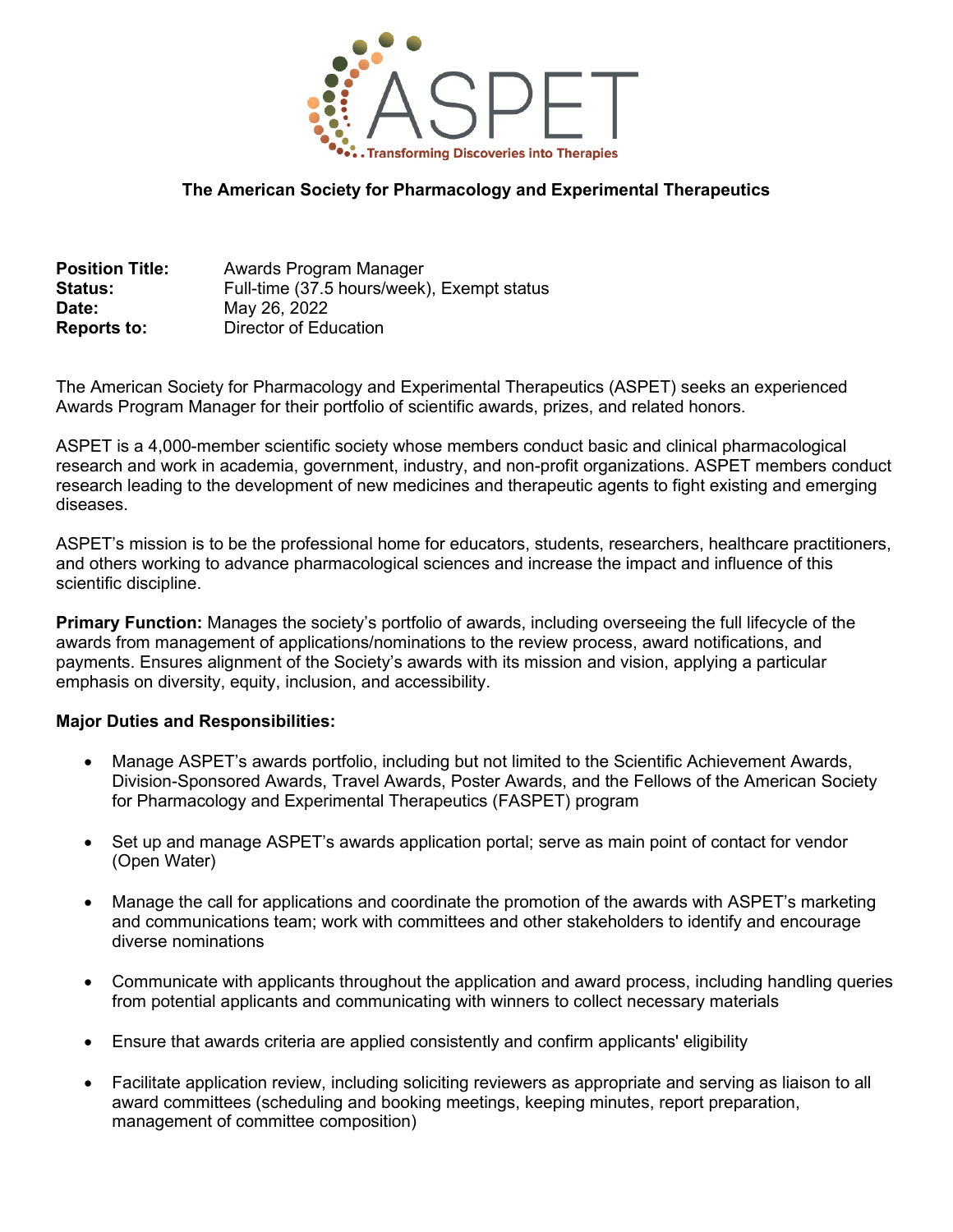

## **The American Society for Pharmacology and Experimental Therapeutics**

**Position Title:** Awards Program Manager Status: Full-time (37.5 hours/week), Exempt status<br>Date: May 26, 2022 **Date:** May 26, 2022 **Reports to:** Director of Education

The American Society for Pharmacology and Experimental Therapeutics (ASPET) seeks an experienced Awards Program Manager for their portfolio of scientific awards, prizes, and related honors.

ASPET is a 4,000-member scientific society whose members conduct basic and clinical pharmacological research and work in academia, government, industry, and non-profit organizations. ASPET members conduct research leading to the development of new medicines and therapeutic agents to fight existing and emerging diseases.

ASPET's mission is to be the professional home for educators, students, researchers, healthcare practitioners, and others working to advance pharmacological sciences and increase the impact and influence of this scientific discipline.

**Primary Function:** Manages the society's portfolio of awards, including overseeing the full lifecycle of the awards from management of applications/nominations to the review process, award notifications, and payments. Ensures alignment of the Society's awards with its mission and vision, applying a particular emphasis on diversity, equity, inclusion, and accessibility.

#### **Major Duties and Responsibilities:**

- Manage ASPET's awards portfolio, including but not limited to the Scientific Achievement Awards, Division-Sponsored Awards, Travel Awards, Poster Awards, and the Fellows of the American Society for Pharmacology and Experimental Therapeutics (FASPET) program
- Set up and manage ASPET's awards application portal; serve as main point of contact for vendor (Open Water)
- Manage the call for applications and coordinate the promotion of the awards with ASPET's marketing and communications team; work with committees and other stakeholders to identify and encourage diverse nominations
- Communicate with applicants throughout the application and award process, including handling queries from potential applicants and communicating with winners to collect necessary materials
- Ensure that awards criteria are applied consistently and confirm applicants' eligibility
- Facilitate application review, including soliciting reviewers as appropriate and serving as liaison to all award committees (scheduling and booking meetings, keeping minutes, report preparation, management of committee composition)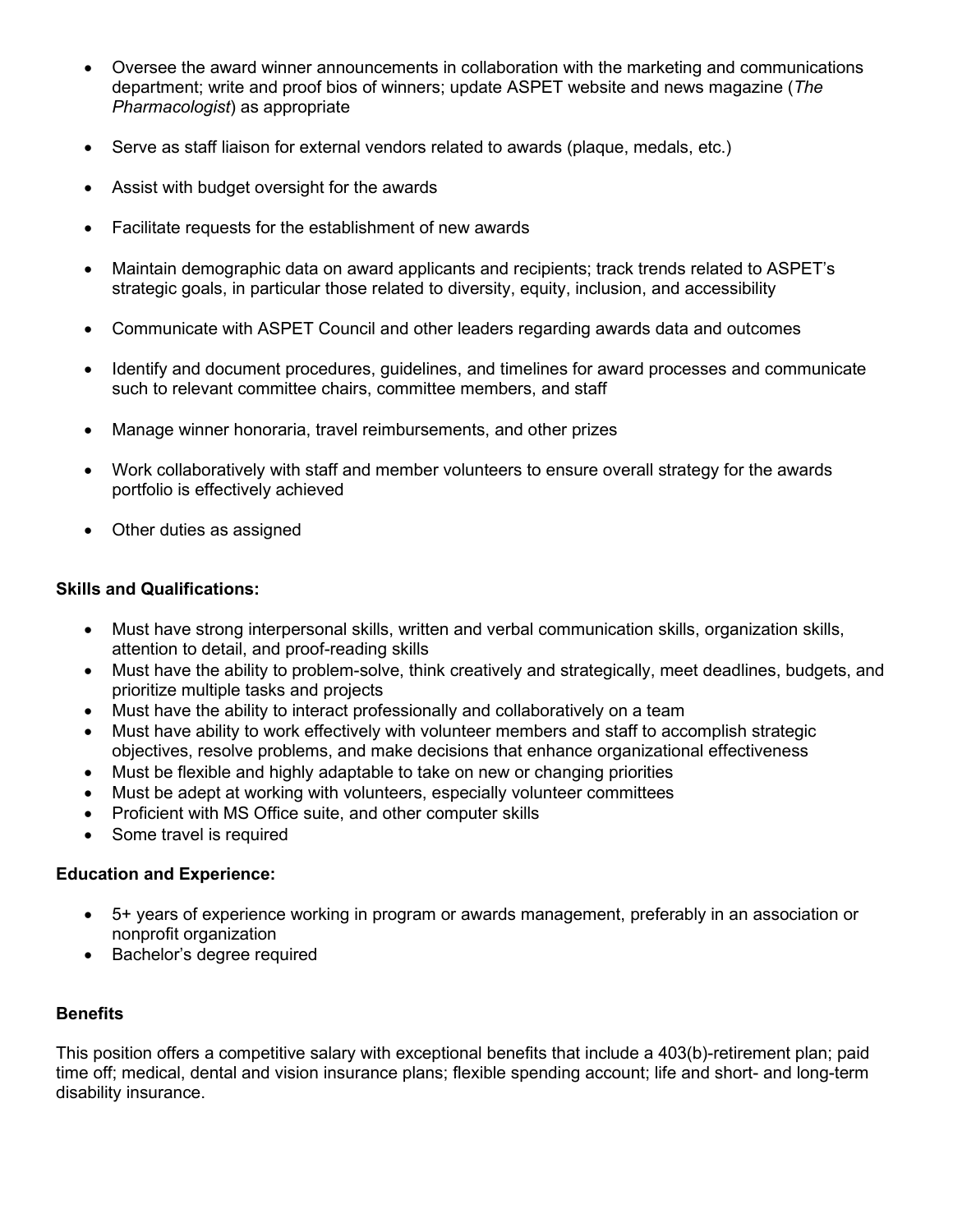- Oversee the award winner announcements in collaboration with the marketing and communications department; write and proof bios of winners; update ASPET website and news magazine (*The Pharmacologist*) as appropriate
- Serve as staff liaison for external vendors related to awards (plaque, medals, etc.)
- Assist with budget oversight for the awards
- Facilitate requests for the establishment of new awards
- Maintain demographic data on award applicants and recipients; track trends related to ASPET's strategic goals, in particular those related to diversity, equity, inclusion, and accessibility
- Communicate with ASPET Council and other leaders regarding awards data and outcomes
- Identify and document procedures, guidelines, and timelines for award processes and communicate such to relevant committee chairs, committee members, and staff
- Manage winner honoraria, travel reimbursements, and other prizes
- Work collaboratively with staff and member volunteers to ensure overall strategy for the awards portfolio is effectively achieved
- Other duties as assigned

#### **Skills and Qualifications:**

- Must have strong interpersonal skills, written and verbal communication skills, organization skills, attention to detail, and proof-reading skills
- Must have the ability to problem-solve, think creatively and strategically, meet deadlines, budgets, and prioritize multiple tasks and projects
- Must have the ability to interact professionally and collaboratively on a team
- Must have ability to work effectively with volunteer members and staff to accomplish strategic objectives, resolve problems, and make decisions that enhance organizational effectiveness
- Must be flexible and highly adaptable to take on new or changing priorities
- Must be adept at working with volunteers, especially volunteer committees
- Proficient with MS Office suite, and other computer skills
- Some travel is required

## **Education and Experience:**

- 5+ years of experience working in program or awards management, preferably in an association or nonprofit organization
- Bachelor's degree required

## **Benefits**

This position offers a competitive salary with exceptional benefits that include a 403(b)-retirement plan; paid time off; medical, dental and vision insurance plans; flexible spending account; life and short- and long-term disability insurance.